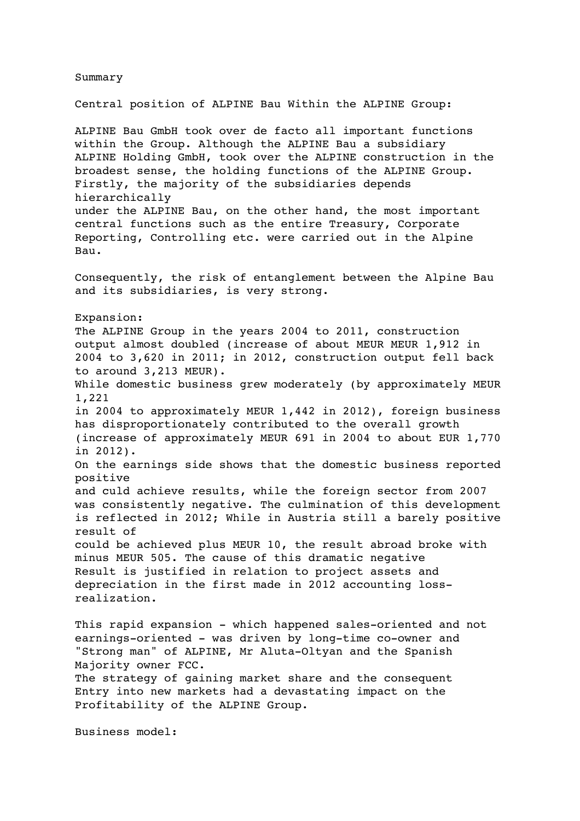Summary Central position of ALPINE Bau Within the ALPINE Group: ALPINE Bau GmbH took over de facto all important functions within the Group. Although the ALPINE Bau a subsidiary ALPINE Holding GmbH, took over the ALPINE construction in the broadest sense, the holding functions of the ALPINE Group. Firstly, the majority of the subsidiaries depends hierarchically under the ALPINE Bau, on the other hand, the most important central functions such as the entire Treasury, Corporate Reporting, Controlling etc. were carried out in the Alpine Bau. Consequently, the risk of entanglement between the Alpine Bau and its subsidiaries, is very strong. Expansion: The ALPINE Group in the years 2004 to 2011, construction output almost doubled (increase of about MEUR MEUR 1,912 in 2004 to 3,620 in 2011; in 2012, construction output fell back to around 3,213 MEUR). While domestic business grew moderately (by approximately MEUR 1,221 in 2004 to approximately MEUR 1,442 in 2012), foreign business has disproportionately contributed to the overall growth (increase of approximately MEUR 691 in 2004 to about EUR 1,770 in 2012). On the earnings side shows that the domestic business reported positive and culd achieve results, while the foreign sector from 2007 was consistently negative. The culmination of this development is reflected in 2012; While in Austria still a barely positive result of could be achieved plus MEUR 10, the result abroad broke with minus MEUR 505. The cause of this dramatic negative Result is justified in relation to project assets and depreciation in the first made in 2012 accounting lossrealization. This rapid expansion - which happened sales-oriented and not earnings-oriented - was driven by long-time co-owner and "Strong man" of ALPINE, Mr Aluta-Oltyan and the Spanish Majority owner FCC. The strategy of gaining market share and the consequent Entry into new markets had a devastating impact on the Profitability of the ALPINE Group. Business model: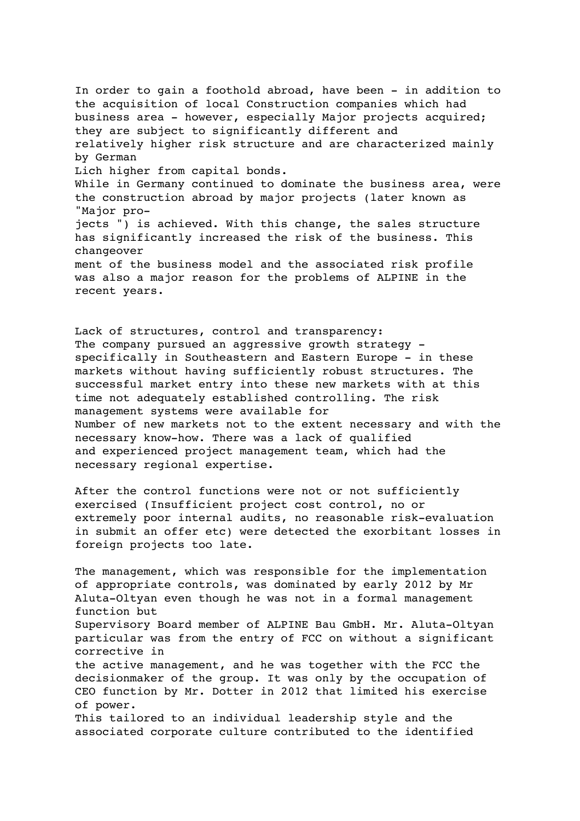In order to gain a foothold abroad, have been - in addition to the acquisition of local Construction companies which had business area - however, especially Major projects acquired; they are subject to significantly different and relatively higher risk structure and are characterized mainly by German Lich higher from capital bonds. While in Germany continued to dominate the business area, were the construction abroad by major projects (later known as "Major projects ") is achieved. With this change, the sales structure has significantly increased the risk of the business. This changeover ment of the business model and the associated risk profile was also a major reason for the problems of ALPINE in the recent years.

Lack of structures, control and transparency: The company pursued an aggressive growth strategy specifically in Southeastern and Eastern Europe - in these markets without having sufficiently robust structures. The successful market entry into these new markets with at this time not adequately established controlling. The risk management systems were available for Number of new markets not to the extent necessary and with the necessary know-how. There was a lack of qualified and experienced project management team, which had the necessary regional expertise.

After the control functions were not or not sufficiently exercised (Insufficient project cost control, no or extremely poor internal audits, no reasonable risk-evaluation in submit an offer etc) were detected the exorbitant losses in foreign projects too late.

The management, which was responsible for the implementation of appropriate controls, was dominated by early 2012 by Mr Aluta-Oltyan even though he was not in a formal management function but Supervisory Board member of ALPINE Bau GmbH. Mr. Aluta-Oltyan particular was from the entry of FCC on without a significant corrective in the active management, and he was together with the FCC the decisionmaker of the group. It was only by the occupation of CEO function by Mr. Dotter in 2012 that limited his exercise of power. This tailored to an individual leadership style and the associated corporate culture contributed to the identified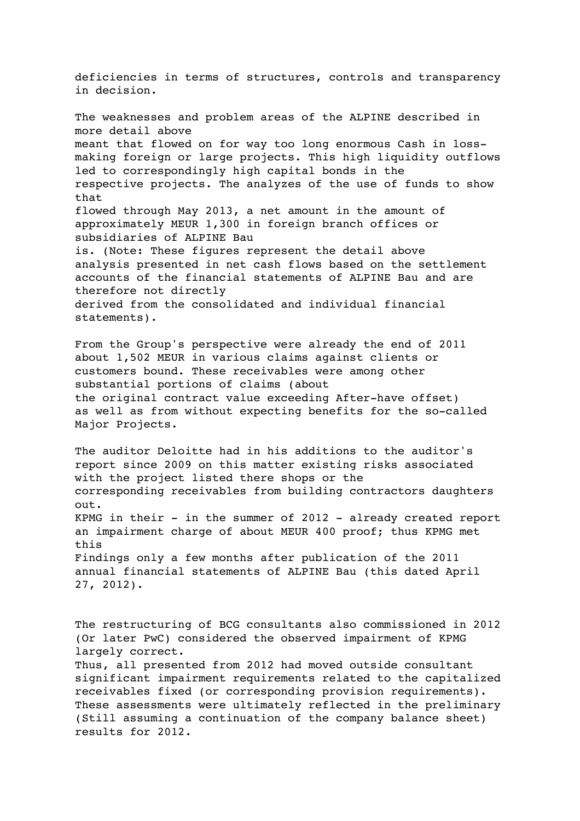deficiencies in terms of structures, controls and transparency in decision. The weaknesses and problem areas of the ALPINE described in more detail above meant that flowed on for way too long enormous Cash in lossmaking foreign or large projects. This high liquidity outflows led to correspondingly high capital bonds in the respective projects. The analyzes of the use of funds to show that flowed through May 2013, a net amount in the amount of approximately MEUR 1,300 in foreign branch offices or subsidiaries of ALPINE Bau is. (Note: These figures represent the detail above analysis presented in net cash flows based on the settlement accounts of the financial statements of ALPINE Bau and are therefore not directly derived from the consolidated and individual financial statements). From the Group's perspective were already the end of 2011 about 1,502 MEUR in various claims against clients or customers bound. These receivables were among other substantial portions of claims (about the original contract value exceeding After-have offset) as well as from without expecting benefits for the so-called Major Projects. The auditor Deloitte had in his additions to the auditor's report since 2009 on this matter existing risks associated with the project listed there shops or the corresponding receivables from building contractors daughters out. KPMG in their - in the summer of 2012 - already created report an impairment charge of about MEUR 400 proof; thus KPMG met this Findings only a few months after publication of the 2011 annual financial statements of ALPINE Bau (this dated April 27, 2012). The restructuring of BCG consultants also commissioned in 2012 (Or later PwC) considered the observed impairment of KPMG largely correct.

Thus, all presented from 2012 had moved outside consultant significant impairment requirements related to the capitalized receivables fixed (or corresponding provision requirements). These assessments were ultimately reflected in the preliminary (Still assuming a continuation of the company balance sheet) results for 2012.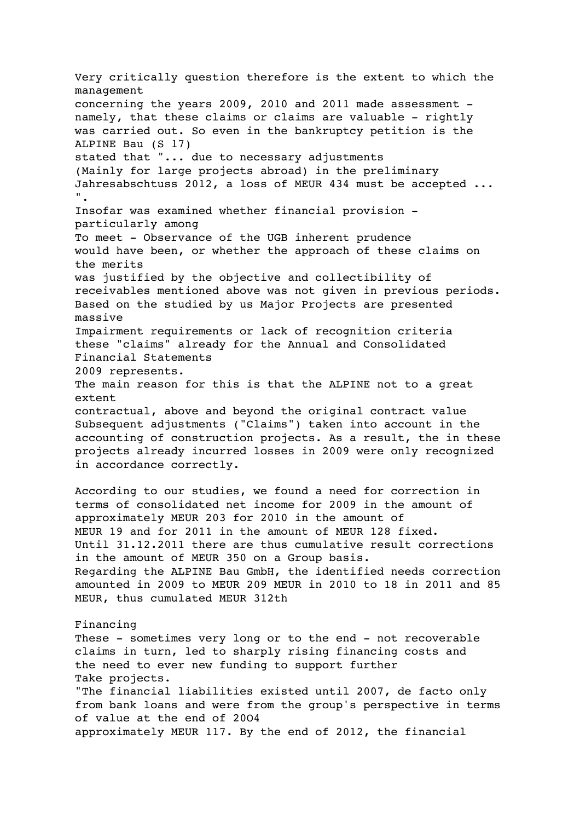Very critically question therefore is the extent to which the management concerning the years 2009, 2010 and 2011 made assessment namely, that these claims or claims are valuable - rightly was carried out. So even in the bankruptcy petition is the ALPINE Bau (S 17) stated that "... due to necessary adjustments (Mainly for large projects abroad) in the preliminary Jahresabschtuss 2012, a loss of MEUR 434 must be accepted ... ". Insofar was examined whether financial provision particularly among To meet - Observance of the UGB inherent prudence would have been, or whether the approach of these claims on the merits was justified by the objective and collectibility of receivables mentioned above was not given in previous periods. Based on the studied by us Major Projects are presented massive Impairment requirements or lack of recognition criteria these "claims" already for the Annual and Consolidated Financial Statements 2009 represents. The main reason for this is that the ALPINE not to a great extent contractual, above and beyond the original contract value Subsequent adjustments ("Claims") taken into account in the accounting of construction projects. As a result, the in these projects already incurred losses in 2009 were only recognized in accordance correctly. According to our studies, we found a need for correction in terms of consolidated net income for 2009 in the amount of approximately MEUR 203 for 2010 in the amount of MEUR 19 and for 2011 in the amount of MEUR 128 fixed. Until 31.12.2011 there are thus cumulative result corrections in the amount of MEUR 350 on a Group basis. Regarding the ALPINE Bau GmbH, the identified needs correction amounted in 2009 to MEUR 209 MEUR in 2010 to 18 in 2011 and 85 MEUR, thus cumulated MEUR 312th Financing These - sometimes very long or to the end - not recoverable claims in turn, led to sharply rising financing costs and the need to ever new funding to support further Take projects. "The financial liabilities existed until 2007, de facto only from bank loans and were from the group's perspective in terms of value at the end of 20O4 approximately MEUR 117. By the end of 2012, the financial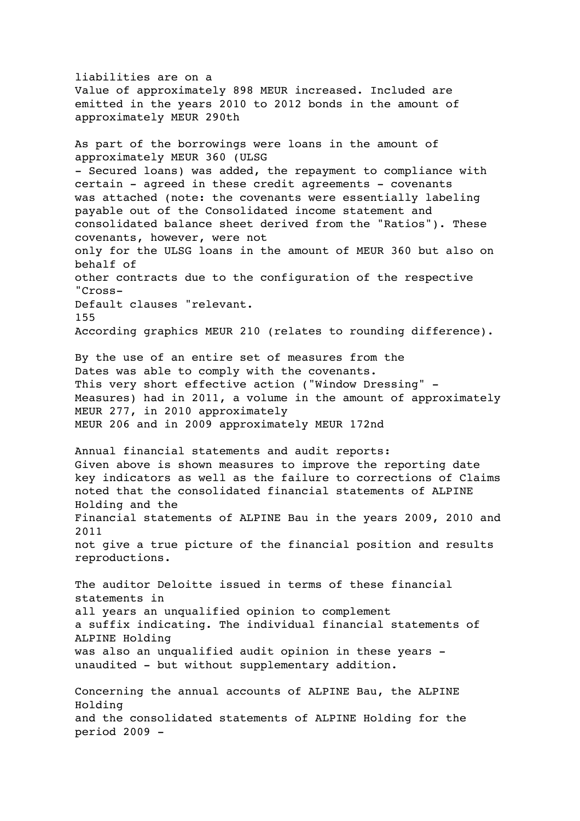liabilities are on a Value of approximately 898 MEUR increased. Included are emitted in the years 2010 to 2012 bonds in the amount of approximately MEUR 290th As part of the borrowings were loans in the amount of approximately MEUR 360 (ULSG - Secured loans) was added, the repayment to compliance with certain - agreed in these credit agreements - covenants was attached (note: the covenants were essentially labeling payable out of the Consolidated income statement and consolidated balance sheet derived from the "Ratios"). These covenants, however, were not only for the ULSG loans in the amount of MEUR 360 but also on behalf of other contracts due to the configuration of the respective "Cross-Default clauses "relevant. 155 According graphics MEUR 210 (relates to rounding difference). By the use of an entire set of measures from the Dates was able to comply with the covenants. This very short effective action ("Window Dressing" - Measures) had in 2011, a volume in the amount of approximately MEUR 277, in 2010 approximately MEUR 206 and in 2009 approximately MEUR 172nd Annual financial statements and audit reports: Given above is shown measures to improve the reporting date key indicators as well as the failure to corrections of Claims noted that the consolidated financial statements of ALPINE Holding and the Financial statements of ALPINE Bau in the years 2009, 2010 and 2011 not give a true picture of the financial position and results reproductions. The auditor Deloitte issued in terms of these financial statements in all years an unqualified opinion to complement a suffix indicating. The individual financial statements of ALPINE Holding was also an unqualified audit opinion in these years unaudited - but without supplementary addition. Concerning the annual accounts of ALPINE Bau, the ALPINE Holding and the consolidated statements of ALPINE Holding for the period 2009 -